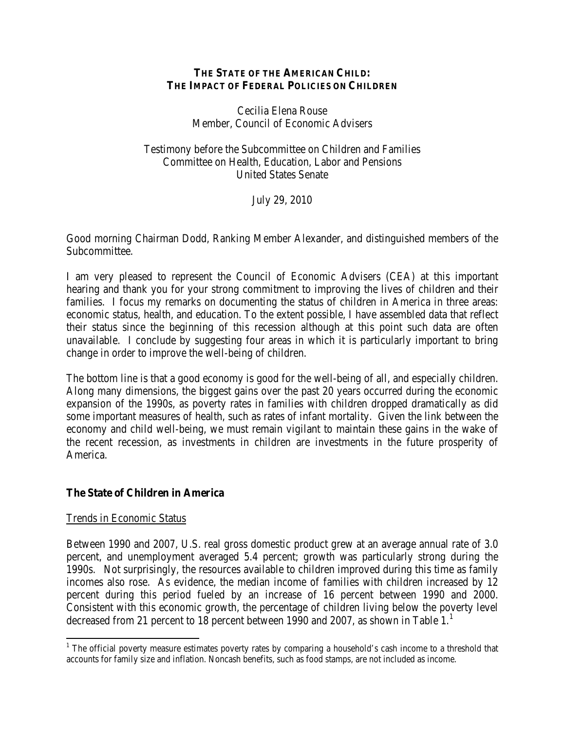## **THE STATE OF THE AMERICAN CHILD: THE IMPACT OF FEDERAL POLICIES ON CHILDREN**

Cecilia Elena Rouse Member, Council of Economic Advisers

Testimony before the Subcommittee on Children and Families Committee on Health, Education, Labor and Pensions United States Senate

July 29, 2010

Good morning Chairman Dodd, Ranking Member Alexander, and distinguished members of the Subcommittee.

I am very pleased to represent the Council of Economic Advisers (CEA) at this important hearing and thank you for your strong commitment to improving the lives of children and their families. I focus my remarks on documenting the status of children in America in three areas: economic status, health, and education. To the extent possible, I have assembled data that reflect their status since the beginning of this recession although at this point such data are often unavailable. I conclude by suggesting four areas in which it is particularly important to bring change in order to improve the well-being of children.

The bottom line is that a good economy is good for the well-being of all, and especially children. Along many dimensions, the biggest gains over the past 20 years occurred during the economic expansion of the 1990s, as poverty rates in families with children dropped dramatically as did some important measures of health, such as rates of infant mortality. Given the link between the economy and child well-being, we must remain vigilant to maintain these gains in the wake of the recent recession, as investments in children are investments in the future prosperity of America.

## **The State of Children in America**

## Trends in Economic Status

 $\overline{\phantom{0}}$ 

Between 1990 and 2007, U.S. real gross domestic product grew at an average annual rate of 3.0 percent, and unemployment averaged 5.4 percent; growth was particularly strong during the 1990s. Not surprisingly, the resources available to children improved during this time as family incomes also rose. As evidence, the median income of families with children increased by 12 percent during this period fueled by an increase of 16 percent between 1990 and 2000. Consistent with this economic growth, the percentage of children living below the poverty level decreased from 2[1](#page-0-0) percent to 18 percent between 1990 and 2007, as shown in Table 1.<sup>1</sup>

<span id="page-0-0"></span><sup>&</sup>lt;sup>1</sup> The official poverty measure estimates poverty rates by comparing a household's cash income to a threshold that accounts for family size and inflation. Noncash benefits, such as food stamps, are not included as income.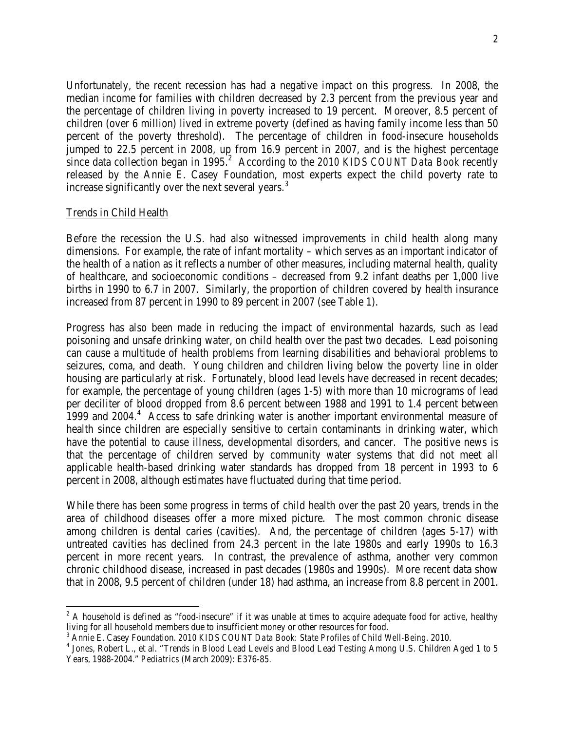Unfortunately, the recent recession has had a negative impact on this progress. In 2008, the median income for families with children decreased by 2.3 percent from the previous year and the percentage of children living in poverty increased to 19 percent. Moreover, 8.5 percent of children (over 6 million) lived in extreme poverty (defined as having family income less than 50 percent of the poverty threshold). The percentage of children in food-insecure households jumped to 22.5 percent in 2008, up from 16.9 percent in 2007, and is the highest percentage since data collection began in 1995.<sup>[2](#page-1-0)</sup> According to the *2010 KIDS COUNT Data Book* recently released by the Annie E. Casey Foundation, most experts expect the child poverty rate to increase significantly over the next several years.<sup>[3](#page-1-1)</sup>

#### Trends in Child Health

 $\overline{\phantom{0}}$ 

Before the recession the U.S. had also witnessed improvements in child health along many dimensions. For example, the rate of infant mortality – which serves as an important indicator of the health of a nation as it reflects a number of other measures, including maternal health, quality of healthcare, and socioeconomic conditions – decreased from 9.2 infant deaths per 1,000 live births in 1990 to 6.7 in 2007. Similarly, the proportion of children covered by health insurance increased from 87 percent in 1990 to 89 percent in 2007 (see Table 1).

Progress has also been made in reducing the impact of environmental hazards, such as lead poisoning and unsafe drinking water, on child health over the past two decades. Lead poisoning can cause a multitude of health problems from learning disabilities and behavioral problems to seizures, coma, and death. Young children and children living below the poverty line in older housing are particularly at risk. Fortunately, blood lead levels have decreased in recent decades; for example, the percentage of young children (ages 1-5) with more than 10 micrograms of lead per deciliter of blood dropped from 8.6 percent between 1988 and 1991 to 1.4 percent between 1999 and 200[4](#page-1-2).<sup>4</sup> Access to safe drinking water is another important environmental measure of health since children are especially sensitive to certain contaminants in drinking water, which have the potential to cause illness, developmental disorders, and cancer. The positive news is that the percentage of children served by community water systems that did not meet all applicable health-based drinking water standards has dropped from 18 percent in 1993 to 6 percent in 2008, although estimates have fluctuated during that time period.

While there has been some progress in terms of child health over the past 20 years, trends in the area of childhood diseases offer a more mixed picture. The most common chronic disease among children is dental caries (cavities). And, the percentage of children (ages 5-17) with untreated cavities has declined from 24.3 percent in the late 1980s and early 1990s to 16.3 percent in more recent years. In contrast, the prevalence of asthma, another very common chronic childhood disease, increased in past decades (1980s and 1990s). More recent data show that in 2008, 9.5 percent of children (under 18) had asthma, an increase from 8.8 percent in 2001.

<span id="page-1-0"></span> $2<sup>2</sup>$  A household is defined as "food-insecure" if it was unable at times to acquire adequate food for active, healthy living for all household members due to insufficient money or other resources for food.<br><sup>3</sup> Annie E. Casey Foundation. 2010 KIDS COUNT Data Book: State Profiles of Child Well-Being. 2010.

<span id="page-1-1"></span>

<span id="page-1-2"></span><sup>&</sup>lt;sup>4</sup> Jones, Robert L., et al. "Trends in Blood Lead Levels and Blood Lead Testing Among U.S. Children Aged 1 to 5 Years, 1988-2004." *Pediatrics* (March 2009): E376-85.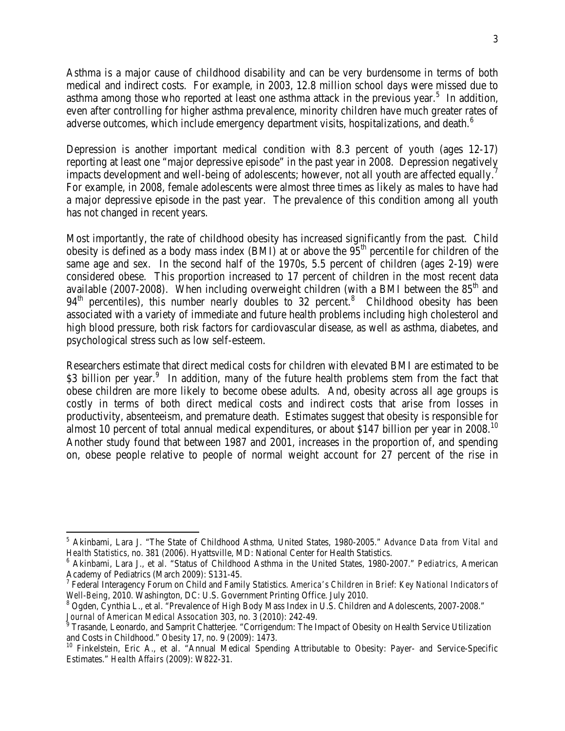Asthma is a major cause of childhood disability and can be very burdensome in terms of both medical and indirect costs. For example, in 2003, 12.8 million school days were missed due to asthma among those who reported at least one asthma attack in the previous year.<sup>[5](#page-2-0)</sup> In addition, even after controlling for higher asthma prevalence, minority children have much greater rates of adverse outcomes, which include emergency department visits, hospitalizations, and death. [6](#page-2-1)

Depression is another important medical condition with 8.3 percent of youth (ages 12-17) reporting at least one "major depressive episode" in the past year in 2008. Depression negatively impacts development and well-being of adolescents; however, not all youth are affected equally.<sup>[7](#page-2-2)</sup> For example, in 2008, female adolescents were almost three times as likely as males to have had a major depressive episode in the past year. The prevalence of this condition among all youth has not changed in recent years.

Most importantly, the rate of childhood obesity has increased significantly from the past. Child obesity is defined as a body mass index (BMI) at or above the  $95<sup>th</sup>$  percentile for children of the same age and sex. In the second half of the 1970s, 5.5 percent of children (ages 2-19) were considered obese. This proportion increased to 17 percent of children in the most recent data available (2007-2008). When including overweight children (with a BMI between the  $85<sup>th</sup>$  and  $94<sup>th</sup>$  percentiles), this number nearly doubles to 32 percent.<sup>[8](#page-2-3)</sup> Childhood obesity has been associated with a variety of immediate and future health problems including high cholesterol and high blood pressure, both risk factors for cardiovascular disease, as well as asthma, diabetes, and psychological stress such as low self-esteem.

Researchers estimate that direct medical costs for children with elevated BMI are estimated to be \$3 billion per year.<sup>[9](#page-2-4)</sup> In addition, many of the future health problems stem from the fact that obese children are more likely to become obese adults. And, obesity across all age groups is costly in terms of both direct medical costs and indirect costs that arise from losses in productivity, absenteeism, and premature death. Estimates suggest that obesity is responsible for almost [10](#page-2-5) percent of total annual medical expenditures, or about \$147 billion per year in 2008.<sup>10</sup> Another study found that between 1987 and 2001, increases in the proportion of, and spending on, obese people relative to people of normal weight account for 27 percent of the rise in

l

<span id="page-2-0"></span><sup>5</sup> Akinbami, Lara J. "The State of Childhood Asthma, United States, 1980-2005." *Advance Data from Vital and Health Statistics*, no. 381 (2006). Hyattsville, MD: National Center for Health Statistics.

<span id="page-2-1"></span><sup>6</sup> Akinbami, Lara J., et al. "Status of Childhood Asthma in the United States, 1980-2007." *Pediatrics*, American Academy of Pediatrics (March 2009): S131-45.<br><sup>7</sup> Federal Interagency Forum on Child and Family Statistics. *America's Children in Brief: Key National Indicators of* 

<span id="page-2-2"></span>*Well-Being*, 2010. Washington, DC: U.S. Government Printing Office. July 2010.<br><sup>8</sup> Ogden, Cynthia L., et al. "Prevalence of High Body Mass Index in U.S. Children and Adolescents, 2007-2008."

<span id="page-2-4"></span><span id="page-2-3"></span>*Journal of American Medical Assocation 303, no. 3 (2010): 242-49.*<br><sup>9</sup> Trasande, Leonardo, and Samprit Chatterjee. "Corrigendum: The Impact of Obesity on Health Service Utilization and Costs in Childhood." *Obesity* 17, no. 9 (2009): 1473.<br><sup>10</sup> Finkelstein, Eric A., et al. "Annual Medical Spending Attributable to Obesity: Payer- and Service-Specific

<span id="page-2-5"></span>Estimates." *Health Affairs* (2009): W822-31.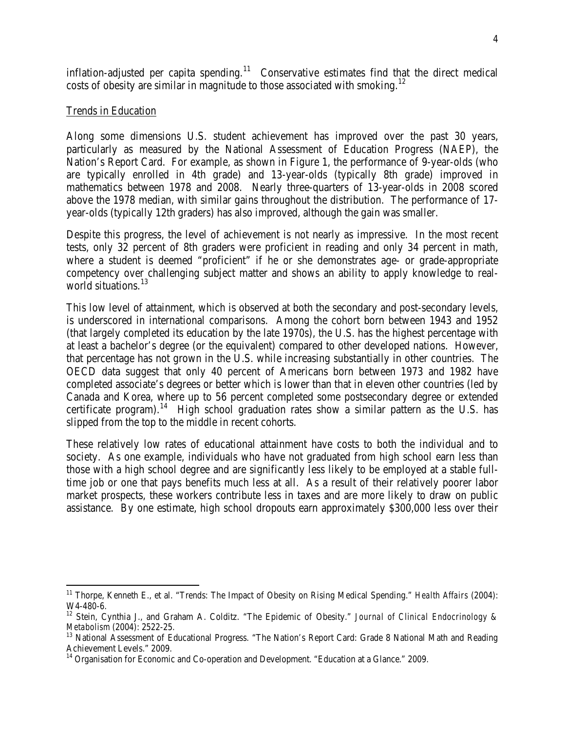inflation-adjusted per capita spending.<sup>11</sup> Conservative estimates find that the direct medical costs of obesity are similar in magnitude to those associated with smoking.<sup>12</sup>

#### Trends in Education

 $\overline{\phantom{0}}$ 

Along some dimensions U.S. student achievement has improved over the past 30 years, particularly as measured by the National Assessment of Education Progress (NAEP), the Nation's Report Card. For example, as shown in Figure 1, the performance of 9-year-olds (who are typically enrolled in 4th grade) and 13-year-olds (typically 8th grade) improved in mathematics between 1978 and 2008. Nearly three-quarters of 13-year-olds in 2008 scored above the 1978 median, with similar gains throughout the distribution. The performance of 17 year-olds (typically 12th graders) has also improved, although the gain was smaller.

Despite this progress, the level of achievement is not nearly as impressive. In the most recent tests, only 32 percent of 8th graders were proficient in reading and only 34 percent in math, where a student is deemed "proficient" if he or she demonstrates age- or grade-appropriate competency over challenging subject matter and shows an ability to apply knowledge to real-world situations.<sup>[13](#page-3-2)</sup>

This low level of attainment, which is observed at both the secondary and post-secondary levels, is underscored in international comparisons. Among the cohort born between 1943 and 1952 (that largely completed its education by the late 1970s), the U.S. has the highest percentage with at least a bachelor's degree (or the equivalent) compared to other developed nations. However, that percentage has not grown in the U.S. while increasing substantially in other countries. The OECD data suggest that only 40 percent of Americans born between 1973 and 1982 have completed associate's degrees or better which is lower than that in eleven other countries (led by Canada and Korea, where up to 56 percent completed some postsecondary degree or extended certificate program).<sup>[14](#page-3-3)</sup> High school graduation rates show a similar pattern as the U.S. has slipped from the top to the middle in recent cohorts.

These relatively low rates of educational attainment have costs to both the individual and to society. As one example, individuals who have not graduated from high school earn less than those with a high school degree and are significantly less likely to be employed at a stable fulltime job or one that pays benefits much less at all. As a result of their relatively poorer labor market prospects, these workers contribute less in taxes and are more likely to draw on public assistance. By one estimate, high school dropouts earn approximately \$300,000 less over their

<span id="page-3-0"></span><sup>&</sup>lt;sup>11</sup> Thorpe, Kenneth E., et al. "Trends: The Impact of Obesity on Rising Medical Spending." *Health Affairs* (2004):

<span id="page-3-1"></span>W4-480-6.<br><sup>12</sup> Stein, Cynthia J., and Graham A. Colditz. "The Epidemic of Obesity." *Journal of Clinical Endocrinology & Metabolism* (2004): 2522-25.

<span id="page-3-2"></span><sup>&</sup>lt;sup>13</sup> National Assessment of Educational Progress. "The Nation's Report Card: Grade 8 National Math and Reading Achievement Levels." 2009.

<span id="page-3-3"></span> $14$  Organisation for Economic and Co-operation and Development. "Education at a Glance." 2009.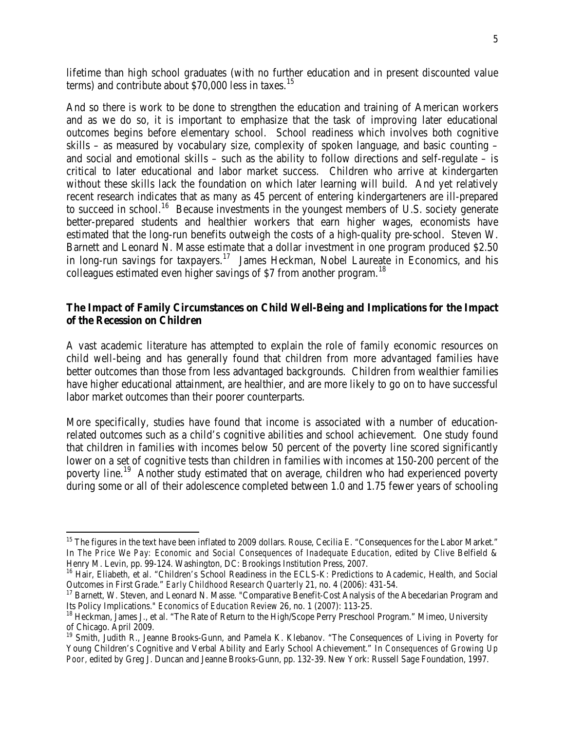lifetime than high school graduates (with no further education and in present discounted value terms) and contribute about  $$70,000$  less in taxes.<sup>[15](#page-4-0)</sup>

And so there is work to be done to strengthen the education and training of American workers and as we do so, it is important to emphasize that the task of improving later educational outcomes begins before elementary school. School readiness which involves both cognitive skills – as measured by vocabulary size, complexity of spoken language, and basic counting – and social and emotional skills – such as the ability to follow directions and self-regulate – is critical to later educational and labor market success. Children who arrive at kindergarten without these skills lack the foundation on which later learning will build. And yet relatively recent research indicates that as many as 45 percent of entering kindergarteners are ill-prepared to succeed in school.<sup>[16](#page-4-1)</sup> Because investments in the youngest members of U.S. society generate better-prepared students and healthier workers that earn higher wages, economists have estimated that the long-run benefits outweigh the costs of a high-quality pre-school. Steven W. Barnett and Leonard N. Masse estimate that a dollar investment in one program produced \$2.50 in long-run savings for taxpayers.[17](#page-4-2) James Heckman, Nobel Laureate in Economics, and his colleagues estimated even higher savings of \$7 from another program.<sup>[18](#page-4-3)</sup>

## **The Impact of Family Circumstances on Child Well-Being and Implications for the Impact of the Recession on Children**

A vast academic literature has attempted to explain the role of family economic resources on child well-being and has generally found that children from more advantaged families have better outcomes than those from less advantaged backgrounds. Children from wealthier families have higher educational attainment, are healthier, and are more likely to go on to have successful labor market outcomes than their poorer counterparts.

More specifically, studies have found that income is associated with a number of educationrelated outcomes such as a child's cognitive abilities and school achievement. One study found that children in families with incomes below 50 percent of the poverty line scored significantly lower on a set of cognitive tests than children in families with incomes at 150-200 percent of the poverty line.<sup>[19](#page-4-4)</sup> Another study estimated that on average, children who had experienced poverty during some or all of their adolescence completed between 1.0 and 1.75 fewer years of schooling

l

<span id="page-4-0"></span><sup>&</sup>lt;sup>15</sup> The figures in the text have been inflated to 2009 dollars. Rouse, Cecilia E. "Consequences for the Labor Market." In *The Price We Pay: Economic and Social Consequences of Inadequate Education*, edited by Clive Belfield & Henry M. Levin, pp. 99-124. Washington, DC: Brookings Institution Press, 2007.

<span id="page-4-1"></span><sup>&</sup>lt;sup>16</sup> Hair, Eliabeth, et al. "Children's School Readiness in the ECLS-K: Predictions to Academic, Health, and Social Outcomes in First Grade." *Early Childhood Research Quarterly* 21, no. 4 (2006): 431-54. <sup>17</sup> Barnett, W. Steven, and Leonard N. Masse. "Comparative Benefit-Cost Analysis of the Abecedarian Program and

<span id="page-4-2"></span>Its Policy Implications." *Economics of Education Review* 26, no. 1 (2007): 113-25.<br><sup>18</sup> Heckman, James J., et al. "The Rate of Return to the High/Scope Perry Preschool Program." Mimeo, University

<span id="page-4-3"></span>of Chicago. April 2009.

<span id="page-4-4"></span><sup>&</sup>lt;sup>19</sup> Smith, Judith R., Jeanne Brooks-Gunn, and Pamela K. Klebanov. "The Consequences of Living in Poverty for Young Children's Cognitive and Verbal Ability and Early School Achievement." In *Consequences of Growing Up Poor,* edited by Greg J. Duncan and Jeanne Brooks-Gunn, pp. 132-39. New York: Russell Sage Foundation, 1997.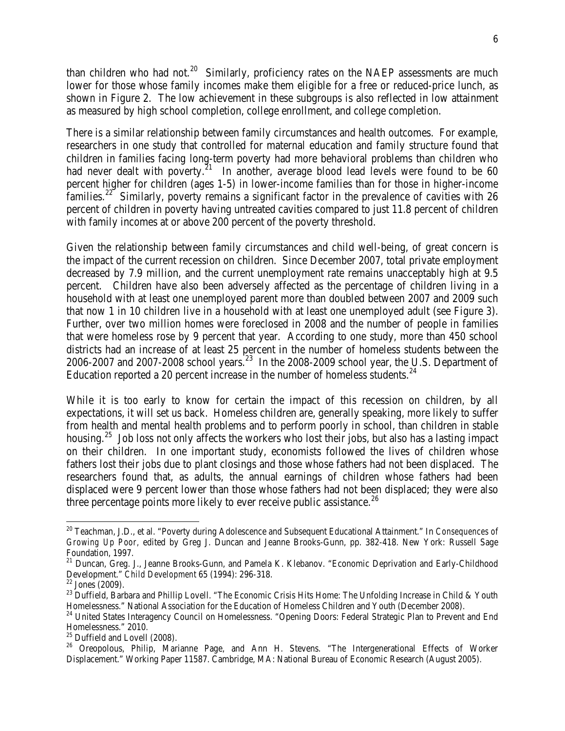than children who had not.<sup>[20](#page-5-0)</sup> Similarly, proficiency rates on the NAEP assessments are much lower for those whose family incomes make them eligible for a free or reduced-price lunch, as shown in Figure 2. The low achievement in these subgroups is also reflected in low attainment as measured by high school completion, college enrollment, and college completion.

There is a similar relationship between family circumstances and health outcomes. For example, researchers in one study that controlled for maternal education and family structure found that children in families facing long-term poverty had more behavioral problems than children who had never dealt with poverty.<sup>[21](#page-5-1)</sup> In another, average blood lead levels were found to be 60 percent higher for children (ages 1-5) in lower-income families than for those in higher-income families.<sup>[22](#page-5-2)</sup> Similarly, poverty remains a significant factor in the prevalence of cavities with 26 percent of children in poverty having untreated cavities compared to just 11.8 percent of children with family incomes at or above 200 percent of the poverty threshold.

Given the relationship between family circumstances and child well-being, of great concern is the impact of the current recession on children. Since December 2007, total private employment decreased by 7.9 million, and the current unemployment rate remains unacceptably high at 9.5 percent. Children have also been adversely affected as the percentage of children living in a household with at least one unemployed parent more than doubled between 2007 and 2009 such that now 1 in 10 children live in a household with at least one unemployed adult (see Figure 3). Further, over two million homes were foreclosed in 2008 and the number of people in families that were homeless rose by 9 percent that year. According to one study, more than 450 school districts had an increase of at least 25 percent in the number of homeless students between the 2006-2007 and 2007-2008 school years.<sup>[23](#page-5-3)</sup> In the 2008-2009 school year, the U.S. Department of Education reported a 20 percent increase in the number of homeless students.<sup>[24](#page-5-4)</sup>

While it is too early to know for certain the impact of this recession on children, by all expectations, it will set us back. Homeless children are, generally speaking, more likely to suffer from health and mental health problems and to perform poorly in school, than children in stable housing.<sup>25</sup> Job loss not only affects the workers who lost their jobs, but also has a lasting impact on their children. In one important study, economists followed the lives of children whose fathers lost their jobs due to plant closings and those whose fathers had not been displaced. The researchers found that, as adults, the annual earnings of children whose fathers had been displaced were 9 percent lower than those whose fathers had not been displaced; they were also three percentage points more likely to ever receive public assistance.<sup>[26](#page-5-6)</sup>

 $\overline{\phantom{0}}$ 

<span id="page-5-0"></span><sup>20</sup> Teachman, J.D., et al. "Poverty during Adolescence and Subsequent Educational Attainment." In *Consequences of Growing Up Poor,* edited by Greg J. Duncan and Jeanne Brooks-Gunn, pp. 382-418. New York: Russell Sage Foundation, 1997.

<span id="page-5-1"></span><sup>&</sup>lt;sup>21</sup> Duncan, Greg. J., Jeanne Brooks-Gunn, and Pamela K. Klebanov. "Economic Deprivation and Early-Childhood

<span id="page-5-3"></span>

<span id="page-5-2"></span>Development." *Child Development* 65 (1994): 296-318.<br><sup>22</sup> Jones (2009).<br><sup>23</sup> Duffield, Barbara and Phillip Lovell. "The Economic Crisis Hits Home: The Unfolding Increase in Child & Youth<br>Homelessness." National Associatio

<span id="page-5-4"></span><sup>&</sup>lt;sup>24</sup> United States Interagency Council on Homelessness. "Opening Doors: Federal Strategic Plan to Prevent and End Homelessness." 2010.<br><sup>25</sup> Duffield and Lovell (2008).

<span id="page-5-6"></span><span id="page-5-5"></span><sup>&</sup>lt;sup>26</sup> Oreopolous, Philip, Marianne Page, and Ann H. Stevens. "The Intergenerational Effects of Worker Displacement." Working Paper 11587. Cambridge, MA: National Bureau of Economic Research (August 2005).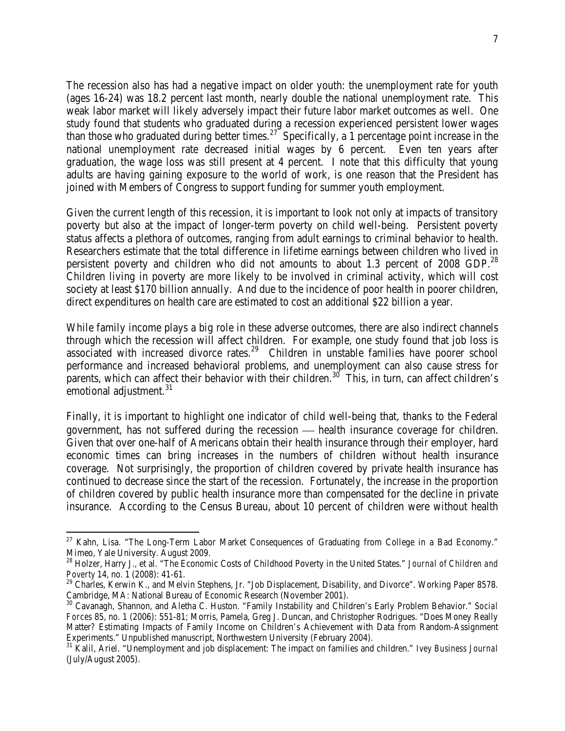The recession also has had a negative impact on older youth: the unemployment rate for youth (ages 16-24) was 18.2 percent last month, nearly double the national unemployment rate. This weak labor market will likely adversely impact their future labor market outcomes as well. One study found that students who graduated during a recession experienced persistent lower wages than those who graduated during better times.<sup>27</sup> Specifically, a 1 percentage point increase in the national unemployment rate decreased initial wages by 6 percent. Even ten years after graduation, the wage loss was still present at 4 percent. I note that this difficulty that young adults are having gaining exposure to the world of work, is one reason that the President has joined with Members of Congress to support funding for summer youth employment.

Given the current length of this recession, it is important to look not only at impacts of transitory poverty but also at the impact of longer-term poverty on child well-being. Persistent poverty status affects a plethora of outcomes, ranging from adult earnings to criminal behavior to health. Researchers estimate that the total difference in lifetime earnings between children who lived in persistent poverty and children who did not amounts to about 1.3 percent of 2008 GDP. $^{28}$  $^{28}$  $^{28}$ Children living in poverty are more likely to be involved in criminal activity, which will cost society at least \$170 billion annually. And due to the incidence of poor health in poorer children, direct expenditures on health care are estimated to cost an additional \$22 billion a year.

While family income plays a big role in these adverse outcomes, there are also indirect channels through which the recession will affect children. For example, one study found that job loss is associated with increased divorce rates.<sup>[29](#page-6-2)</sup> Children in unstable families have poorer school performance and increased behavioral problems, and unemployment can also cause stress for parents, which can affect their behavior with their children.<sup>[30](#page-6-3)</sup> This, in turn, can affect children's emotional adjustment.<sup>[31](#page-6-4)</sup>

Finally, it is important to highlight one indicator of child well-being that, thanks to the Federal government, has not suffered during the recession health insurance coverage for children. Given that over one-half of Americans obtain their health insurance through their employer, hard economic times can bring increases in the numbers of children without health insurance coverage. Not surprisingly, the proportion of children covered by private health insurance has continued to decrease since the start of the recession. Fortunately, the increase in the proportion of children covered by public health insurance more than compensated for the decline in private insurance. According to the Census Bureau, about 10 percent of children were without health

l

<span id="page-6-0"></span><sup>&</sup>lt;sup>27</sup> Kahn, Lisa. "The Long-Term Labor Market Consequences of Graduating from College in a Bad Economy." Mimeo, Yale University. August 2009.

<span id="page-6-1"></span><sup>28</sup> Holzer, Harry J., et al. "The Economic Costs of Childhood Poverty in the United States." *Journal of Children and Poverty* 14, no. 1 (2008): 41-61.

<span id="page-6-2"></span><sup>&</sup>lt;sup>29</sup> Charles, Kerwin K., and Melvin Stephens, Jr. "Job Displacement, Disability, and Divorce". Working Paper 8578. Cambridge, MA: National Bureau of Economic Research (November 2001).

<span id="page-6-3"></span><sup>30</sup> Cavanagh, Shannon, and Aletha C. Huston. "Family Instability and Children's Early Problem Behavior." *Social Forces* 85, no. 1 (2006): 551-81; Morris, Pamela, Greg J. Duncan, and Christopher Rodrigues. "Does Money Really Matter? Estimating Impacts of Family Income on Children's Achievement with Data from Random-Assignment Experiments." Unpublished manuscript, Northwestern University (February 2004).

<span id="page-6-4"></span><sup>31</sup> Kalil, Ariel. "Unemployment and job displacement: The impact on families and children." *Ivey Business Journal* (July/August 2005).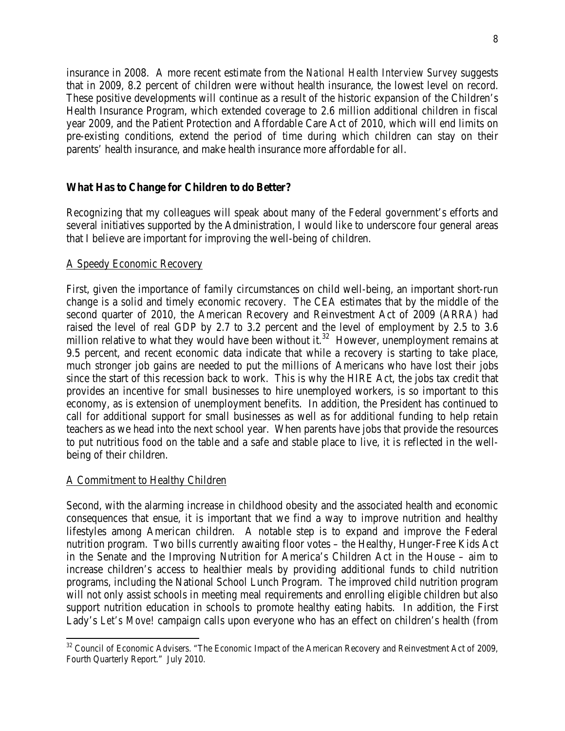insurance in 2008. A more recent estimate from the *National Health Interview Survey* suggests that in 2009, 8.2 percent of children were without health insurance, the lowest level on record. These positive developments will continue as a result of the historic expansion of the Children's Health Insurance Program, which extended coverage to 2.6 million additional children in fiscal year 2009, and the Patient Protection and Affordable Care Act of 2010, which will end limits on pre-existing conditions, extend the period of time during which children can stay on their parents' health insurance, and make health insurance more affordable for all.

## **What Has to Change for Children to do Better?**

Recognizing that my colleagues will speak about many of the Federal government's efforts and several initiatives supported by the Administration, I would like to underscore four general areas that I believe are important for improving the well-being of children.

#### A Speedy Economic Recovery

First, given the importance of family circumstances on child well-being, an important short-run change is a solid and timely economic recovery. The CEA estimates that by the middle of the second quarter of 2010, the American Recovery and Reinvestment Act of 2009 (ARRA) had raised the level of real GDP by 2.7 to 3.2 percent and the level of employment by 2.5 to 3.6 million relative to what they would have been without it.<sup>[32](#page-7-0)</sup> However, unemployment remains at 9.5 percent, and recent economic data indicate that while a recovery is starting to take place, much stronger job gains are needed to put the millions of Americans who have lost their jobs since the start of this recession back to work. This is why the HIRE Act, the jobs tax credit that provides an incentive for small businesses to hire unemployed workers, is so important to this economy, as is extension of unemployment benefits. In addition, the President has continued to call for additional support for small businesses as well as for additional funding to help retain teachers as we head into the next school year. When parents have jobs that provide the resources to put nutritious food on the table and a safe and stable place to live, it is reflected in the wellbeing of their children.

#### A Commitment to Healthy Children

 $\overline{\phantom{0}}$ 

Second, with the alarming increase in childhood obesity and the associated health and economic consequences that ensue, it is important that we find a way to improve nutrition and healthy lifestyles among American children. A notable step is to expand and improve the Federal nutrition program. Two bills currently awaiting floor votes – the Healthy, Hunger-Free Kids Act in the Senate and the Improving Nutrition for America's Children Act in the House – aim to increase children's access to healthier meals by providing additional funds to child nutrition programs, including the National School Lunch Program. The improved child nutrition program will not only assist schools in meeting meal requirements and enrolling eligible children but also support nutrition education in schools to promote healthy eating habits. In addition, the First Lady's *Let's Move!* campaign calls upon everyone who has an effect on children's health (from

<span id="page-7-0"></span><sup>&</sup>lt;sup>32</sup> Council of Economic Advisers. "The Economic Impact of the American Recovery and Reinvestment Act of 2009, Fourth Quarterly Report." July 2010.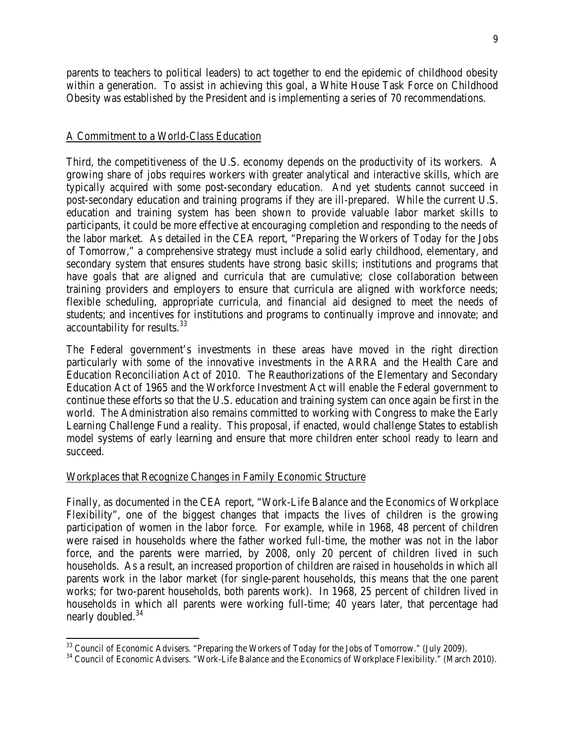parents to teachers to political leaders) to act together to end the epidemic of childhood obesity within a generation. To assist in achieving this goal, a White House Task Force on Childhood Obesity was established by the President and is implementing a series of 70 recommendations.

#### A Commitment to a World-Class Education

Third, the competitiveness of the U.S. economy depends on the productivity of its workers. A growing share of jobs requires workers with greater analytical and interactive skills, which are typically acquired with some post-secondary education. And yet students cannot succeed in post-secondary education and training programs if they are ill-prepared. While the current U.S. education and training system has been shown to provide valuable labor market skills to participants, it could be more effective at encouraging completion and responding to the needs of the labor market. As detailed in the CEA report, "Preparing the Workers of Today for the Jobs of Tomorrow," a comprehensive strategy must include a solid early childhood, elementary, and secondary system that ensures students have strong basic skills; institutions and programs that have goals that are aligned and curricula that are cumulative; close collaboration between training providers and employers to ensure that curricula are aligned with workforce needs; flexible scheduling, appropriate curricula, and financial aid designed to meet the needs of students; and incentives for institutions and programs to continually improve and innovate; and accountability for results.<sup>[33](#page-8-0)</sup>

The Federal government's investments in these areas have moved in the right direction particularly with some of the innovative investments in the ARRA and the Health Care and Education Reconciliation Act of 2010. The Reauthorizations of the Elementary and Secondary Education Act of 1965 and the Workforce Investment Act will enable the Federal government to continue these efforts so that the U.S. education and training system can once again be first in the world. The Administration also remains committed to working with Congress to make the Early Learning Challenge Fund a reality. This proposal, if enacted, would challenge States to establish model systems of early learning and ensure that more children enter school ready to learn and succeed.

#### Workplaces that Recognize Changes in Family Economic Structure

 $\overline{\phantom{0}}$ 

Finally, as documented in the CEA report, "Work-Life Balance and the Economics of Workplace Flexibility", one of the biggest changes that impacts the lives of children is the growing participation of women in the labor force. For example, while in 1968, 48 percent of children were raised in households where the father worked full-time, the mother was not in the labor force, and the parents were married, by 2008, only 20 percent of children lived in such households. As a result, an increased proportion of children are raised in households in which all parents work in the labor market (for single-parent households, this means that the one parent works; for two-parent households, both parents work). In 1968, 25 percent of children lived in households in which all parents were working full-time; 40 years later, that percentage had nearly doubled.<sup>[34](#page-8-1)</sup>

<span id="page-8-1"></span><span id="page-8-0"></span> $33$  Council of Economic Advisers. "Preparing the Workers of Today for the Jobs of Tomorrow." (July 2009).  $34$  Council of Economic Advisers. "Work-Life Balance and the Economics of Workplace Flexibility." (March 2010).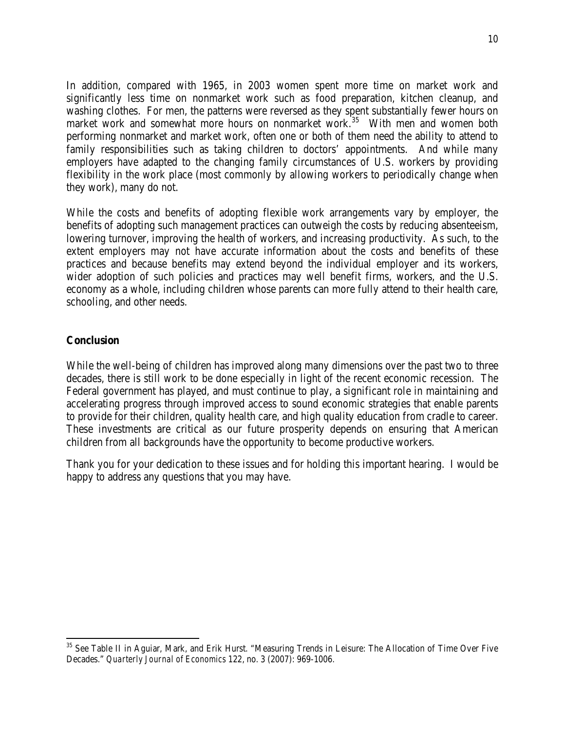In addition, compared with 1965, in 2003 women spent more time on market work and significantly less time on nonmarket work such as food preparation, kitchen cleanup, and washing clothes. For men, the patterns were reversed as they spent substantially fewer hours on market work and somewhat more hours on nonmarket work.<sup>[35](#page-9-0)</sup> With men and women both performing nonmarket and market work, often one or both of them need the ability to attend to family responsibilities such as taking children to doctors' appointments. And while many employers have adapted to the changing family circumstances of U.S. workers by providing flexibility in the work place (most commonly by allowing workers to periodically change when they work), many do not.

While the costs and benefits of adopting flexible work arrangements vary by employer, the benefits of adopting such management practices can outweigh the costs by reducing absenteeism, lowering turnover, improving the health of workers, and increasing productivity. As such, to the extent employers may not have accurate information about the costs and benefits of these practices and because benefits may extend beyond the individual employer and its workers, wider adoption of such policies and practices may well benefit firms, workers, and the U.S. economy as a whole, including children whose parents can more fully attend to their health care, schooling, and other needs.

#### **Conclusion**

 $\overline{\phantom{0}}$ 

While the well-being of children has improved along many dimensions over the past two to three decades, there is still work to be done especially in light of the recent economic recession. The Federal government has played, and must continue to play, a significant role in maintaining and accelerating progress through improved access to sound economic strategies that enable parents to provide for their children, quality health care, and high quality education from cradle to career. These investments are critical as our future prosperity depends on ensuring that American children from all backgrounds have the opportunity to become productive workers.

Thank you for your dedication to these issues and for holding this important hearing. I would be happy to address any questions that you may have.

<span id="page-9-0"></span><sup>&</sup>lt;sup>35</sup> See Table II in Aguiar, Mark, and Erik Hurst. "Measuring Trends in Leisure: The Allocation of Time Over Five Decades." *Quarterly Journal of Economics* 122, no. 3 (2007): 969-1006.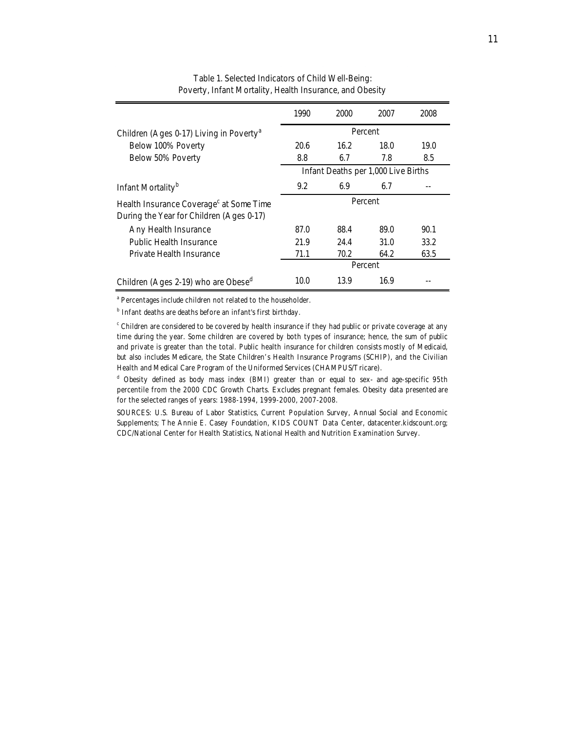|                                                                                                 | 1990                                | 2000    | 2007 | 2008 |  |
|-------------------------------------------------------------------------------------------------|-------------------------------------|---------|------|------|--|
| Children (Ages 0-17) Living in Poverty <sup>a</sup>                                             | Percent                             |         |      |      |  |
| Below 100% Poverty                                                                              | 20.6                                | 16.2    | 18.0 | 19.0 |  |
| Below 50% Poverty                                                                               | 8.8                                 | 6.7     | 7.8  | 8.5  |  |
|                                                                                                 | Infant Deaths per 1,000 Live Births |         |      |      |  |
| Infant Mortality <sup>b</sup>                                                                   | 9.2                                 | 6.9     | 6.7  |      |  |
| Health Insurance Coverage <sup>c</sup> at Some Time<br>During the Year for Children (Ages 0-17) | Percent                             |         |      |      |  |
| Any Health Insurance                                                                            | 87.0                                | 88.4    | 89.0 | 90.1 |  |
| Public Health Insurance                                                                         | 21.9                                | 24.4    | 31.0 | 33.2 |  |
| Private Health Insurance                                                                        | 71.1                                | 70.2    | 64.2 | 63.5 |  |
|                                                                                                 |                                     | Percent |      |      |  |
| Children (Ages 2-19) who are Obese <sup>d</sup>                                                 | 10.0                                | 13.9    | 16.9 |      |  |

Table 1. Selected Indicators of Child Well-Being: Poverty, Infant Mortality, Health Insurance, and Obesity

<sup>a</sup> Percentages include children not related to the householder.

<sup>b</sup> Infant deaths are deaths before an infant's first birthday.

 $c$  Children are considered to be covered by health insurance if they had public or private coverage at any time during the year. Some children are covered by both types of insurance; hence, the sum of public and private is greater than the total. Public health insurance for children consists mostly of Medicaid, but also includes Medicare, the State Children's Health Insurance Programs (SCHIP), and the Civilian Health and Medical Care Program of the Uniformed Services (CHAMPUS/Tricare).

<sup>d</sup> Obesity defined as body mass index (BMI) greater than or equal to sex- and age-specific 95th percentile from the 2000 CDC Growth Charts. Excludes pregnant females. Obesity data presented are for the selected ranges of years: 1988-1994, 1999-2000, 2007-2008.

SOURCES: U.S. Bureau of Labor Statistics, Current Population Survey, Annual Social and Economic Supplements; The Annie E. Casey Foundation, KIDS COUNT Data Center, datacenter.kidscount.org; CDC/National Center for Health Statistics, National Health and Nutrition Examination Survey.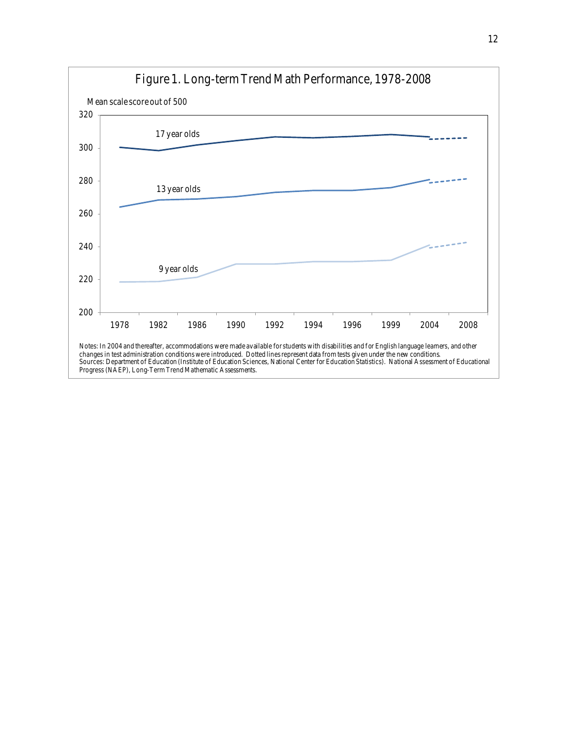

#### 12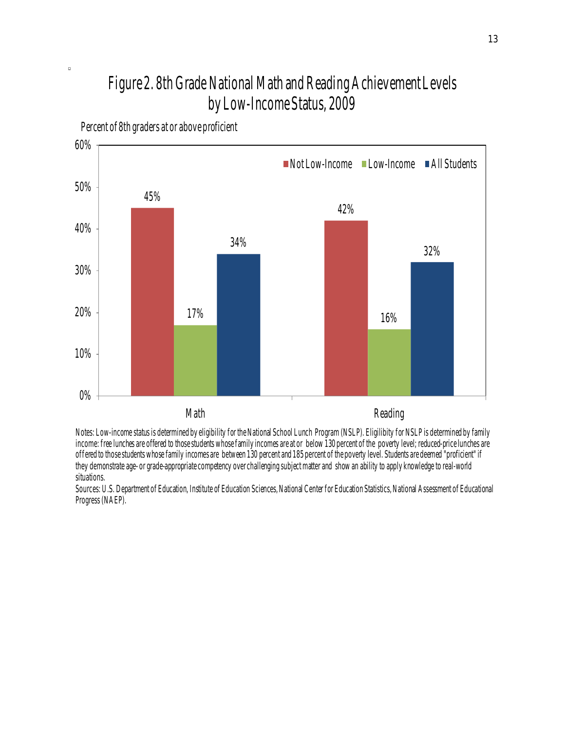# Figure 2. 8th Grade National Math and Reading Achievement Levels by Low-Income Status, 2009



Percent of 8th graders at or above proficient

 $\Box$ 

Notes: Low-income status is determined by eligibility for the National School Lunch Program (NSLP). Eligilibity for NSLP is determined by family income: free lunches are offered to those students whose family incomes are at or below 130 percent of the poverty level; reduced-price lunches are offered to those students whose family incomes are between 130 percent and 185 percent of the poverty level. Students are deemed "proficient" if they demonstrate age- or grade-appropriate competency over challenging subject matter and show an ability to apply knowledge to real-world situations.

Sources: U.S. Department of Education, Institute of Education Sciences, National Center for Education Statistics, National Assessment of Educational Progress (NAEP).